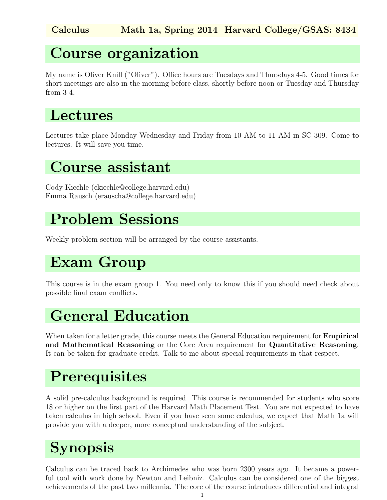### Course organization

My name is Oliver Knill ("Oliver"). Office hours are Tuesdays and Thursdays 4-5. Good times for short meetings are also in the morning before class, shortly before noon or Tuesday and Thursday from 3-4.

#### Lectures

Lectures take place Monday Wednesday and Friday from 10 AM to 11 AM in SC 309. Come to lectures. It will save you time.

#### Course assistant

Cody Kiechle (ckiechle@college.harvard.edu) Emma Rausch (erauscha@college.harvard.edu)

## Problem Sessions

Weekly problem section will be arranged by the course assistants.

## Exam Group

This course is in the exam group 1. You need only to know this if you should need check about possible final exam conflicts.

## General Education

When taken for a letter grade, this course meets the General Education requirement for **Empirical** and Mathematical Reasoning or the Core Area requirement for Quantitative Reasoning. It can be taken for graduate credit. Talk to me about special requirements in that respect.

## **Prerequisites**

A solid pre-calculus background is required. This course is recommended for students who score 18 or higher on the first part of the Harvard Math Placement Test. You are not expected to have taken calculus in high school. Even if you have seen some calculus, we expect that Math 1a will provide you with a deeper, more conceptual understanding of the subject.

# Synopsis

Calculus can be traced back to Archimedes who was born 2300 years ago. It became a powerful tool with work done by Newton and Leibniz. Calculus can be considered one of the biggest achievements of the past two millennia. The core of the course introduces differential and integral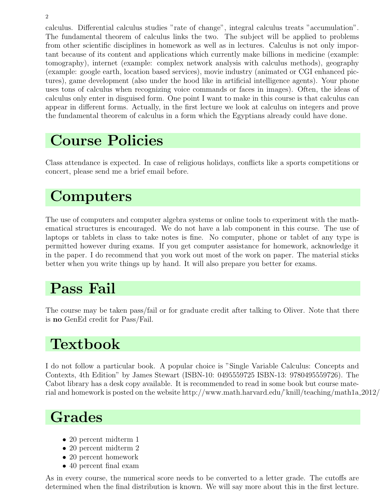2

calculus. Differential calculus studies "rate of change", integral calculus treats "accumulation". The fundamental theorem of calculus links the two. The subject will be applied to problems from other scientific disciplines in homework as well as in lectures. Calculus is not only important because of its content and applications which currently make billions in medicine (example: tomography), internet (example: complex network analysis with calculus methods), geography (example: google earth, location based services), movie industry (animated or CGI enhanced pictures), game development (also under the hood like in artificial intelligence agents). Your phone uses tons of calculus when recognizing voice commands or faces in images). Often, the ideas of calculus only enter in disguised form. One point I want to make in this course is that calculus can appear in different forms. Actually, in the first lecture we look at calculus on integers and prove the fundamental theorem of calculus in a form which the Egyptians already could have done.

## Course Policies

Class attendance is expected. In case of religious holidays, conflicts like a sports competitions or concert, please send me a brief email before.

## **Computers**

The use of computers and computer algebra systems or online tools to experiment with the mathematical structures is encouraged. We do not have a lab component in this course. The use of laptops or tablets in class to take notes is fine. No computer, phone or tablet of any type is permitted however during exams. If you get computer assistance for homework, acknowledge it in the paper. I do recommend that you work out most of the work on paper. The material sticks better when you write things up by hand. It will also prepare you better for exams.

#### Pass Fail

The course may be taken pass/fail or for graduate credit after talking to Oliver. Note that there is no GenEd credit for Pass/Fail.

## Textbook

I do not follow a particular book. A popular choice is "Single Variable Calculus: Concepts and Contexts, 4th Edition" by James Stewart (ISBN-10: 0495559725 ISBN-13: 9780495559726). The Cabot library has a desk copy available. It is recommended to read in some book but course material and homework is posted on the website http://www.math.harvard.edu/˜knill/teaching/math1a 2012/

## Grades

- 20 percent midterm 1
- 20 percent midterm 2
- 20 percent homework
- 40 percent final exam

As in every course, the numerical score needs to be converted to a letter grade. The cutoffs are determined when the final distribution is known. We will say more about this in the first lecture.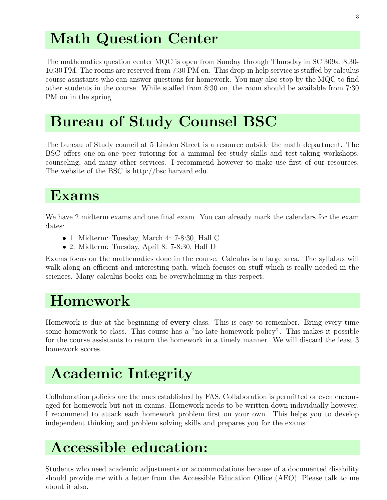## Math Question Center

The mathematics question center MQC is open from Sunday through Thursday in SC 309a, 8:30- 10:30 PM. The rooms are reserved from 7:30 PM on. This drop-in help service is staffed by calculus course assistants who can answer questions for homework. You may also stop by the MQC to find other students in the course. While staffed from 8:30 on, the room should be available from 7:30 PM on in the spring.

## Bureau of Study Counsel BSC

The bureau of Study council at 5 Linden Street is a resource outside the math department. The BSC offers one-on-one peer tutoring for a minimal fee study skills and test-taking workshops, counseling, and many other services. I recommend however to make use first of our resources. The website of the BSC is http://bsc.harvard.edu.

#### Exams

We have 2 midterm exams and one final exam. You can already mark the calendars for the exam dates:

- 1. Midterm: Tuesday, March 4: 7-8:30, Hall C
- 2. Midterm: Tuesday, April 8: 7-8:30, Hall D

Exams focus on the mathematics done in the course. Calculus is a large area. The syllabus will walk along an efficient and interesting path, which focuses on stuff which is really needed in the sciences. Many calculus books can be overwhelming in this respect.

## Homework

Homework is due at the beginning of every class. This is easy to remember. Bring every time some homework to class. This course has a "no late homework policy". This makes it possible for the course assistants to return the homework in a timely manner. We will discard the least 3 homework scores.

## Academic Integrity

Collaboration policies are the ones established by FAS. Collaboration is permitted or even encouraged for homework but not in exams. Homework needs to be written down individually however. I recommend to attack each homework problem first on your own. This helps you to develop independent thinking and problem solving skills and prepares you for the exams.

## Accessible education:

Students who need academic adjustments or accommodations because of a documented disability should provide me with a letter from the Accessible Education Office (AEO). Please talk to me about it also.